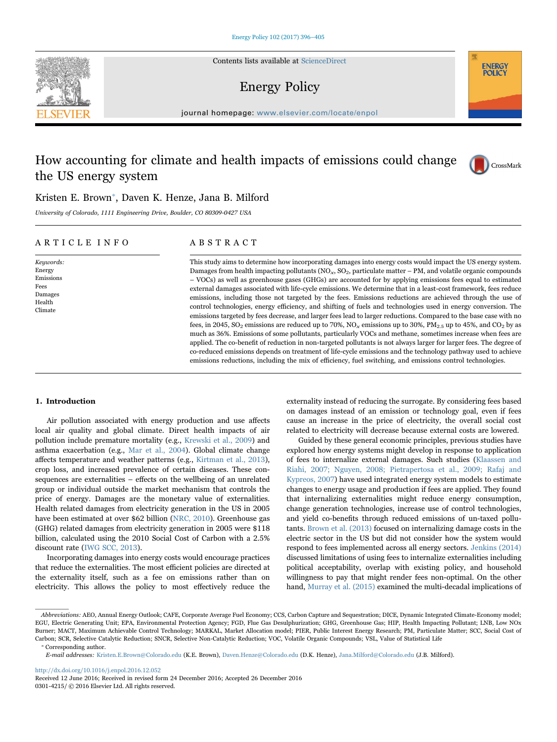Contents lists available at [ScienceDirect](http://www.sciencedirect.com/science/journal/03014215)

# Energy Policy

journal homepage: [www.elsevier.com/locate/enpol](http://www.elsevier.com/locate/enpol)

# How accounting for climate and health impacts of emissions could change the US energy system



**NERGY** POLIC<sup>1</sup>

# Kristen E. Brown<sup>\*</sup>[, Daven K. Henze, Jana B. Milford](#page-0-0)

University of Colorado, 1111 Engineering Drive, Boulder, CO 80309-0427 USA

# ARTICLE INFO

#### Keywords: Energy Emissions Fees Damages Health Climate

# ABSTRACT

This study aims to determine how incorporating damages into energy costs would impact the US energy system. Damages from health impacting pollutants ( $NO<sub>x</sub>$ ,  $SO<sub>2</sub>$ , particulate matter – PM, and volatile organic compounds – VOCs) as well as greenhouse gases (GHGs) are accounted for by applying emissions fees equal to estimated external damages associated with life-cycle emissions. We determine that in a least-cost framework, fees reduce emissions, including those not targeted by the fees. Emissions reductions are achieved through the use of control technologies, energy efficiency, and shifting of fuels and technologies used in energy conversion. The emissions targeted by fees decrease, and larger fees lead to larger reductions. Compared to the base case with no fees, in 2045, SO<sub>2</sub> emissions are reduced up to 70%, NO<sub>x</sub> emissions up to 30%, PM<sub>2.5</sub> up to 45%, and CO<sub>2</sub> by as much as 36%. Emissions of some pollutants, particularly VOCs and methane, sometimes increase when fees are applied. The co-benefit of reduction in non-targeted pollutants is not always larger for larger fees. The degree of co-reduced emissions depends on treatment of life-cycle emissions and the technology pathway used to achieve emissions reductions, including the mix of efficiency, fuel switching, and emissions control technologies.

# 1. Introduction

Air pollution associated with energy production and use affects local air quality and global climate. Direct health impacts of air pollution include premature mortality (e.g., [Krewski et al., 2009\)](#page-8-0) and asthma exacerbation (e.g., [Mar et al., 2004](#page-8-1)). Global climate change affects temperature and weather patterns (e.g., [Kirtman et al., 2013\)](#page-8-2), crop loss, and increased prevalence of certain diseases. These consequences are externalities – effects on the wellbeing of an unrelated group or individual outside the market mechanism that controls the price of energy. Damages are the monetary value of externalities. Health related damages from electricity generation in the US in 2005 have been estimated at over \$62 billion [\(NRC, 2010\)](#page-8-3). Greenhouse gas (GHG) related damages from electricity generation in 2005 were \$118 billion, calculated using the 2010 Social Cost of Carbon with a 2.5% discount rate [\(IWG SCC, 2013\)](#page-8-4).

Incorporating damages into energy costs would encourage practices that reduce the externalities. The most efficient policies are directed at the externality itself, such as a fee on emissions rather than on electricity. This allows the policy to most effectively reduce the externality instead of reducing the surrogate. By considering fees based on damages instead of an emission or technology goal, even if fees cause an increase in the price of electricity, the overall social cost related to electricity will decrease because external costs are lowered.

Guided by these general economic principles, previous studies have explored how energy systems might develop in response to application of fees to internalize external damages. Such studies [\(Klaassen and](#page-8-5) [Riahi, 2007; Nguyen, 2008; Pietrapertosa et al., 2009; Rafaj and](#page-8-5) [Kypreos, 2007\)](#page-8-5) have used integrated energy system models to estimate changes to energy usage and production if fees are applied. They found that internalizing externalities might reduce energy consumption, change generation technologies, increase use of control technologies, and yield co-benefits through reduced emissions of un-taxed pollutants. [Brown et al. \(2013\)](#page-8-6) focused on internalizing damage costs in the electric sector in the US but did not consider how the system would respond to fees implemented across all energy sectors. [Jenkins \(2014\)](#page-8-7) discussed limitations of using fees to internalize externalities including political acceptability, overlap with existing policy, and household willingness to pay that might render fees non-optimal. On the other hand, [Murray et al. \(2015\)](#page-8-8) examined the multi-decadal implications of

<span id="page-0-0"></span>⁎ Corresponding author.

<http://dx.doi.org/10.1016/j.enpol.2016.12.052>



Abbreviations: AEO, Annual Energy Outlook; CAFE, Corporate Average Fuel Economy; CCS, Carbon Capture and Sequestration; DICE, Dynamic Integrated Climate-Economy model; EGU, Electric Generating Unit; EPA, Environmental Protection Agency; FGD, Flue Gas Desulphurization; GHG, Greenhouse Gas; HIP, Health Impacting Pollutant; LNB, Low NOx Burner; MACT, Maximum Achievable Control Technology; MARKAL, Market Allocation model; PIER, Public Interest Energy Research; PM, Particulate Matter; SCC, Social Cost of Carbon; SCR, Selective Catalytic Reduction; SNCR, Selective Non-Catalytic Reduction; VOC, Volatile Organic Compounds; VSL, Value of Statistical Life

E-mail addresses: Kristen.E.Brown@Colorado.edu (K.E. Brown), Daven.Henze@Colorado.edu (D.K. Henze), Jana.Milford@Colorado.edu (J.B. Milford).

Received 12 June 2016; Received in revised form 24 December 2016; Accepted 26 December 2016 0301-4215/ © 2016 Elsevier Ltd. All rights reserved.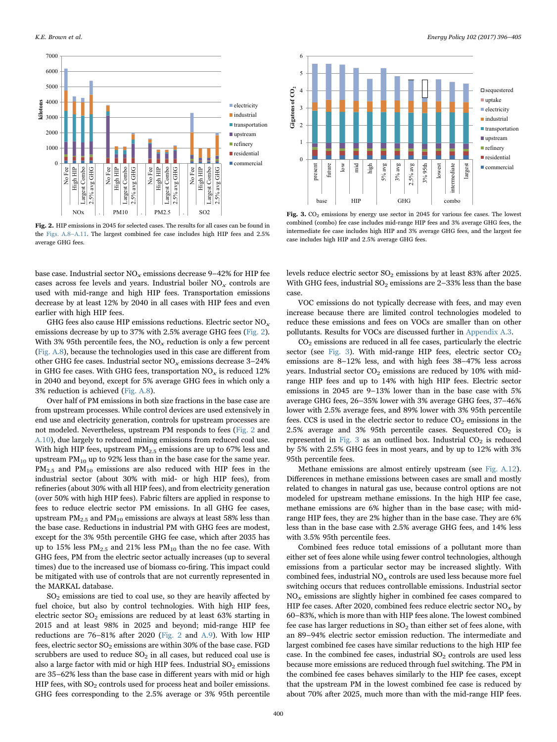<span id="page-1-0"></span>

Fig. 2. HIP emissions in 2045 for selected cases. The results for all cases can be found in the Figs. A.8–A.11. The largest combined fee case includes high HIP fees and 2.5% average GHG fees.

base case. Industrial sector  $NO_x$  emissions decrease 9–42% for HIP fee cases across fee levels and years. Industrial boiler  $NO_x$  controls are used with mid-range and high HIP fees. Transportation emissions decrease by at least 12% by 2040 in all cases with HIP fees and even earlier with high HIP fees.

GHG fees also cause HIP emissions reductions. Electric sector  $NO<sub>x</sub>$ emissions decrease by up to 37% with 2.5% average GHG fees [\(Fig. 2\)](#page-1-0). With 3% 95th percentile fees, the  $NO<sub>x</sub>$  reduction is only a few percent (Fig. A.8), because the technologies used in this case are different from other GHG fee cases. Industrial sector  $NO<sub>x</sub>$  emissions decrease 3-24% in GHG fee cases. With GHG fees, transportation  $NO<sub>x</sub>$  is reduced 12% in 2040 and beyond, except for 5% average GHG fees in which only a 3% reduction is achieved (Fig. A.8).

Over half of PM emissions in both size fractions in the base case are from upstream processes. While control devices are used extensively in end use and electricity generation, controls for upstream processes are not modeled. Nevertheless, upstream PM responds to fees [\(Fig. 2](#page-1-0) and A.10), due largely to reduced mining emissions from reduced coal use. With high HIP fees, upstream  $PM_{2.5}$  emissions are up to 67% less and upstream  $PM_{10}$  up to 92% less than in the base case for the same year.  $PM_{2.5}$  and  $PM_{10}$  emissions are also reduced with HIP fees in the industrial sector (about 30% with mid- or high HIP fees), from refineries (about 30% with all HIP fees), and from electricity generation (over 50% with high HIP fees). Fabric filters are applied in response to fees to reduce electric sector PM emissions. In all GHG fee cases, upstream  $PM_{2.5}$  and  $PM_{10}$  emissions are always at least 58% less than the base case. Reductions in industrial PM with GHG fees are modest, except for the 3% 95th percentile GHG fee case, which after 2035 has up to 15% less  $PM_{2.5}$  and 21% less  $PM_{10}$  than the no fee case. With GHG fees, PM from the electric sector actually increases (up to several times) due to the increased use of biomass co-firing. This impact could be mitigated with use of controls that are not currently represented in the MARKAL database.

 $SO<sub>2</sub>$  emissions are tied to coal use, so they are heavily affected by fuel choice, but also by control technologies. With high HIP fees, electric sector  $SO_2$  emissions are reduced by at least 63% starting in 2015 and at least 98% in 2025 and beyond; mid-range HIP fee reductions are 76–81% after 2020 ([Fig. 2](#page-1-0) and A.9). With low HIP fees, electric sector  $SO_2$  emissions are within 30% of the base case. FGD scrubbers are used to reduce  $SO<sub>2</sub>$  in all cases, but reduced coal use is also a large factor with mid or high HIP fees. Industrial  $SO<sub>2</sub>$  emissions are 35–62% less than the base case in different years with mid or high HIP fees, with  $SO_2$  controls used for process heat and boiler emissions. GHG fees corresponding to the 2.5% average or 3% 95th percentile

<span id="page-1-1"></span>

Fig. 3. CO<sub>2</sub> emissions by energy use sector in 2045 for various fee cases. The lowest combined (combo) fee case includes mid-range HIP fees and 3% average GHG fees, the intermediate fee case includes high HIP and 3% average GHG fees, and the largest fee case includes high HIP and 2.5% average GHG fees.

levels reduce electric sector  $SO_2$  emissions by at least 83% after 2025. With GHG fees, industrial  $SO_2$  emissions are 2–33% less than the base case.

VOC emissions do not typically decrease with fees, and may even increase because there are limited control technologies modeled to reduce these emissions and fees on VOCs are smaller than on other pollutants. Results for VOCs are discussed further in Appendix A.3.

CO2 emissions are reduced in all fee cases, particularly the electric sector (see [Fig. 3\)](#page-1-1). With mid-range HIP fees, electric sector  $CO<sub>2</sub>$ emissions are 8–12% less, and with high fees 38–47% less across years. Industrial sector  $CO<sub>2</sub>$  emissions are reduced by 10% with midrange HIP fees and up to 14% with high HIP fees. Electric sector emissions in 2045 are 9–13% lower than in the base case with 5% average GHG fees, 26–35% lower with 3% average GHG fees, 37–46% lower with 2.5% average fees, and 89% lower with 3% 95th percentile fees. CCS is used in the electric sector to reduce  $CO<sub>2</sub>$  emissions in the 2.5% average and 3% 95th percentile cases. Sequestered  $CO<sub>2</sub>$  is represented in [Fig. 3](#page-1-1) as an outlined box. Industrial  $CO<sub>2</sub>$  is reduced by 5% with 2.5% GHG fees in most years, and by up to 12% with 3% 95th percentile fees.

Methane emissions are almost entirely upstream (see Fig. A.12). Differences in methane emissions between cases are small and mostly related to changes in natural gas use, because control options are not modeled for upstream methane emissions. In the high HIP fee case, methane emissions are 6% higher than in the base case; with midrange HIP fees, they are 2% higher than in the base case. They are 6% less than in the base case with 2.5% average GHG fees, and 14% less with 3.5% 95th percentile fees.

Combined fees reduce total emissions of a pollutant more than either set of fees alone while using fewer control technologies, although emissions from a particular sector may be increased slightly. With combined fees, industrial  $NO<sub>x</sub>$  controls are used less because more fuel switching occurs that reduces controllable emissions. Industrial sector  $NO<sub>x</sub>$  emissions are slightly higher in combined fee cases compared to HIP fee cases. After 2020, combined fees reduce electric sector  $NO_x$  by 60–83%, which is more than with HIP fees alone. The lowest combined fee case has larger reductions in  $SO<sub>2</sub>$  than either set of fees alone, with an 89–94% electric sector emission reduction. The intermediate and largest combined fee cases have similar reductions to the high HIP fee case. In the combined fee cases, industrial  $SO<sub>2</sub>$  controls are used less because more emissions are reduced through fuel switching. The PM in the combined fee cases behaves similarly to the HIP fee cases, except that the upstream PM in the lowest combined fee case is reduced by about 70% after 2025, much more than with the mid-range HIP fees.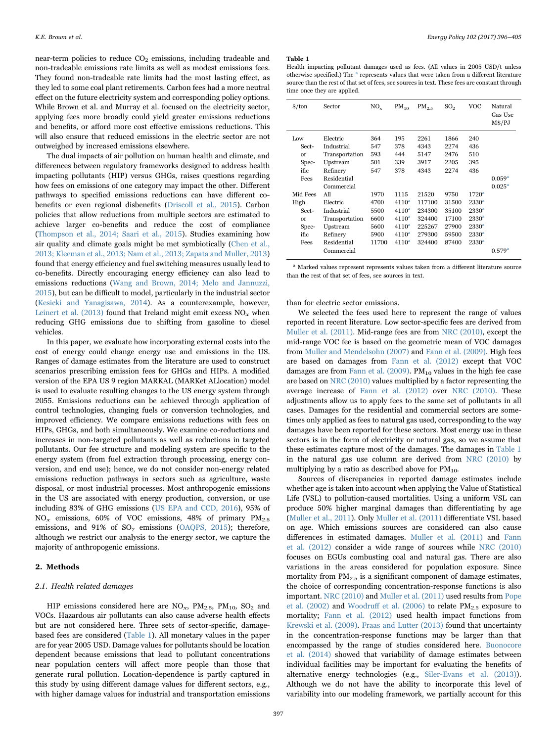near-term policies to reduce  $CO<sub>2</sub>$  emissions, including tradeable and non-tradeable emissions rate limits as well as modest emissions fees. They found non-tradeable rate limits had the most lasting effect, as they led to some coal plant retirements. Carbon fees had a more neutral effect on the future electricity system and corresponding policy options. While Brown et al. and Murray et al. focused on the electricity sector, applying fees more broadly could yield greater emissions reductions and benefits, or afford more cost effective emissions reductions. This will also ensure that reduced emissions in the electric sector are not outweighed by increased emissions elsewhere.

The dual impacts of air pollution on human health and climate, and differences between regulatory frameworks designed to address health impacting pollutants (HIP) versus GHGs, raises questions regarding how fees on emissions of one category may impact the other. Different pathways to specified emissions reductions can have different cobenefits or even regional disbenefits [\(Driscoll et al., 2015\)](#page-8-9). Carbon policies that allow reductions from multiple sectors are estimated to achieve larger co-benefits and reduce the cost of compliance ([Thompson et al., 2014; Saari et al., 2015\)](#page-9-0). Studies examining how air quality and climate goals might be met symbiotically [\(Chen et al.,](#page-8-10) [2013; Kleeman et al., 2013; Nam et al., 2013; Zapata and Muller, 2013\)](#page-8-10) found that energy efficiency and fuel switching measures usually lead to co-benefits. Directly encouraging energy efficiency can also lead to emissions reductions ([Wang and Brown, 2014; Melo and Jannuzzi,](#page-9-1) [2015\)](#page-9-1), but can be difficult to model, particularly in the industrial sector ([Kesicki and Yanagisawa, 2014\)](#page-8-11). As a counterexample, however, [Leinert et al. \(2013\)](#page-8-12) found that Ireland might emit excess  $NO_x$  when reducing GHG emissions due to shifting from gasoline to diesel vehicles.

In this paper, we evaluate how incorporating external costs into the cost of energy could change energy use and emissions in the US. Ranges of damage estimates from the literature are used to construct scenarios prescribing emission fees for GHGs and HIPs. A modified version of the EPA US 9 region MARKAL (MARKet ALlocation) model is used to evaluate resulting changes to the US energy system through 2055. Emissions reductions can be achieved through application of control technologies, changing fuels or conversion technologies, and improved efficiency. We compare emissions reductions with fees on HIPs, GHGs, and both simultaneously. We examine co-reductions and increases in non-targeted pollutants as well as reductions in targeted pollutants. Our fee structure and modeling system are specific to the energy system (from fuel extraction through processing, energy conversion, and end use); hence, we do not consider non-energy related emissions reduction pathways in sectors such as agriculture, waste disposal, or most industrial processes. Most anthropogenic emissions in the US are associated with energy production, conversion, or use including 83% of GHG emissions ([US EPA and CCD, 2016](#page-9-2)), 95% of  $NO<sub>x</sub>$  emissions, 60% of VOC emissions, 48% of primary  $PM<sub>2.5</sub>$ emissions, and  $91\%$  of  $SO_2$  emissions [\(OAQPS, 2015\)](#page-8-13); therefore, although we restrict our analysis to the energy sector, we capture the majority of anthropogenic emissions.

# 2. Methods

### 2.1. Health related damages

HIP emissions considered here are  $NO_x$ ,  $PM_{2.5}$ ,  $PM_{10}$ ,  $SO_2$  and VOCs. Hazardous air pollutants can also cause adverse health effects but are not considered here. Three sets of sector-specific, damagebased fees are considered [\(Table 1](#page-2-0)). All monetary values in the paper are for year 2005 USD. Damage values for pollutants should be location dependent because emissions that lead to pollutant concentrations near population centers will affect more people than those that generate rural pollution. Location-dependence is partly captured in this study by using different damage values for different sectors, e.g., with higher damage values for industrial and transportation emissions

#### <span id="page-2-0"></span>Table 1

Health impacting pollutant damages used as fees. (All values in 2005 USD/t unless otherwise specified.) The  $a$  represents values that were taken from a different literature source than the rest of that set of fees, see sources in text. These fees are constant through time once they are applied.

| $\frac{\text{<}}{\text{6}}$ | Sector         | $NO_{v}$ | $PM_{10}$         | $PM_{2.5}$ | SO <sub>2</sub> | VOC               | Natural<br>Gas Use<br>M\$/PJ |
|-----------------------------|----------------|----------|-------------------|------------|-----------------|-------------------|------------------------------|
| Low                         | Electric       | 364      | 195               | 2261       | 1866            | 240               |                              |
| Sect-                       | Industrial     | 547      | 378               | 4343       | 2274            | 436               |                              |
| $\alpha$                    | Transportation | 593      | 444               | 5147       | 2476            | 510               |                              |
| Spec-                       | Upstream       | 501      | 339               | 3917       | 2205            | 395               |                              |
| ific                        | Refinery       | 547      | 378               | 4343       | 2274            | 436               |                              |
| Fees                        | Residential    |          |                   |            |                 |                   | 0.059 <sup>a</sup>           |
|                             | Commercial     |          |                   |            |                 |                   | $0.025^{\rm a}$              |
| Mid Fees                    | All            | 1970     | 1115              | 21520      | 9750            | $1720^{\rm a}$    |                              |
| High                        | Electric       | 4700     | 4110 <sup>a</sup> | 117100     | 31500           | 2330 <sup>a</sup> |                              |
| Sect-                       | Industrial     | 5500     | $4110^a$          | 234300     | 35100           | 2330 <sup>a</sup> |                              |
| or                          | Transportation | 6600     | $4110^a$          | 324400     | 17100           | 2330 <sup>a</sup> |                              |
| Spec-                       | Upstream       | 5600     | $4110^a$          | 225267     | 27900           | $2330^{\circ}$    |                              |
| ific.                       | Refinery       | 5900     | $4110^a$          | 279300     | 59500           | 2330 <sup>a</sup> |                              |
| Fees                        | Residential    | 11700    | $4110^a$          | 324400     | 87400           | $2330^{\circ}$    |                              |
|                             | Commercial     |          |                   |            |                 |                   | 0.579 <sup>a</sup>           |

<sup>a</sup> Marked values represent represents values taken from a different literature source than the rest of that set of fees, see sources in text.

#### than for electric sector emissions.

We selected the fees used here to represent the range of values reported in recent literature. Low sector-specific fees are derived from [Muller et al. \(2011\)](#page-8-14). Mid-range fees are from [NRC \(2010\)](#page-8-3), except the mid-range VOC fee is based on the geometric mean of VOC damages from [Muller and Mendelsohn \(2007\)](#page-8-15) and [Fann et al. \(2009\).](#page-8-16) High fees are based on damages from [Fann et al. \(2012\)](#page-8-17) except that VOC damages are from Fann et al.  $(2009)$ . PM<sub>10</sub> values in the high fee case are based on [NRC \(2010\)](#page-8-3) values multiplied by a factor representing the average increase of [Fann et al. \(2012\)](#page-8-17) over [NRC \(2010\).](#page-8-3) These adjustments allow us to apply fees to the same set of pollutants in all cases. Damages for the residential and commercial sectors are sometimes only applied as fees to natural gas used, corresponding to the way damages have been reported for these sectors. Most energy use in these sectors is in the form of electricity or natural gas, so we assume that these estimates capture most of the damages. The damages in [Table 1](#page-2-0) in the natural gas use column are derived from [NRC \(2010\)](#page-8-3) by multiplying by a ratio as described above for  $PM_{10}$ .

Sources of discrepancies in reported damage estimates include whether age is taken into account when applying the Value of Statistical Life (VSL) to pollution-caused mortalities. Using a uniform VSL can produce 50% higher marginal damages than differentiating by age ([Muller et al., 2011\)](#page-8-14). Only [Muller et al. \(2011\)](#page-8-14) differentiate VSL based on age. Which emissions sources are considered can also cause differences in estimated damages. [Muller et al. \(2011\)](#page-8-14) and [Fann](#page-8-17) [et al. \(2012\)](#page-8-17) consider a wide range of sources while [NRC \(2010\)](#page-8-3) focuses on EGUs combusting coal and natural gas. There are also variations in the areas considered for population exposure. Since mortality from  $PM_{2.5}$  is a significant component of damage estimates, the choice of corresponding concentration-response functions is also important. [NRC \(2010\)](#page-8-3) and [Muller et al. \(2011\)](#page-8-14) used results from [Pope](#page-8-18) [et al. \(2002\)](#page-8-18) and Woodruff [et al. \(2006\)](#page-9-3) to relate  $PM_{2.5}$  exposure to mortality; [Fann et al. \(2012\)](#page-8-17) used health impact functions from [Krewski et al. \(2009\)](#page-8-0). [Fraas and Lutter \(2013\)](#page-8-19) found that uncertainty in the concentration-response functions may be larger than that encompassed by the range of studies considered here. [Buonocore](#page-8-20) [et al. \(2014\)](#page-8-20) showed that variability of damage estimates between individual facilities may be important for evaluating the benefits of alternative energy technologies (e.g., [Siler-Evans et al. \(2013\)\)](#page-9-4). Although we do not have the ability to incorporate this level of variability into our modeling framework, we partially account for this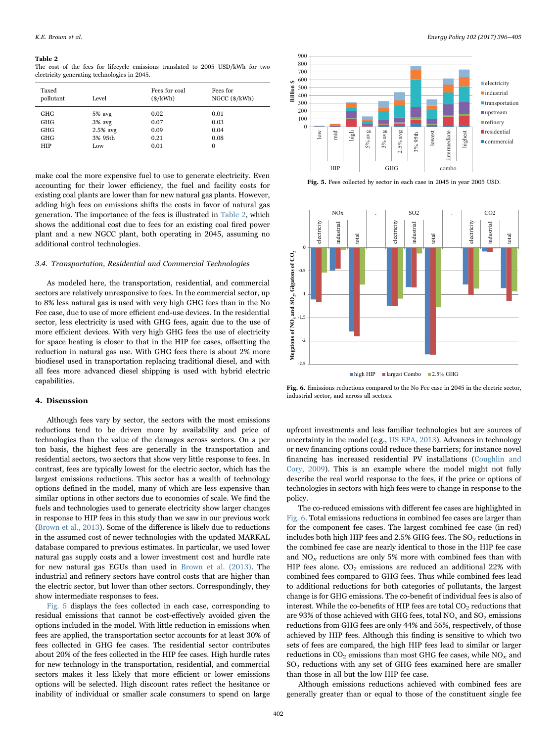#### <span id="page-3-0"></span>Table 2

The cost of the fees for lifecycle emissions translated to 2005 USD/kWh for two electricity generating technologies in 2045.

| Taxed<br>pollutant | Level      | Fees for coal<br>$(\frac{s}{kWh})$ | Fees for<br>NGCC $(\frac{s}{kWh})$ |
|--------------------|------------|------------------------------------|------------------------------------|
| GHG                | $5%$ avg   | 0.02                               | 0.01                               |
| GHG                | $3%$ avg   | 0.07                               | 0.03                               |
| GHG                | $2.5%$ avg | 0.09                               | 0.04                               |
| GHG                | 3% 95th    | 0.21                               | 0.08                               |
| <b>HIP</b>         | Low        | 0.01                               | $\Omega$                           |

make coal the more expensive fuel to use to generate electricity. Even accounting for their lower efficiency, the fuel and facility costs for existing coal plants are lower than for new natural gas plants. However, adding high fees on emissions shifts the costs in favor of natural gas generation. The importance of the fees is illustrated in [Table 2,](#page-3-0) which shows the additional cost due to fees for an existing coal fired power plant and a new NGCC plant, both operating in 2045, assuming no additional control technologies.

# 3.4. Transportation, Residential and Commercial Technologies

As modeled here, the transportation, residential, and commercial sectors are relatively unresponsive to fees. In the commercial sector, up to 8% less natural gas is used with very high GHG fees than in the No Fee case, due to use of more efficient end-use devices. In the residential sector, less electricity is used with GHG fees, again due to the use of more efficient devices. With very high GHG fees the use of electricity for space heating is closer to that in the HIP fee cases, offsetting the reduction in natural gas use. With GHG fees there is about 2% more biodiesel used in transportation replacing traditional diesel, and with all fees more advanced diesel shipping is used with hybrid electric capabilities.

## 4. Discussion

Although fees vary by sector, the sectors with the most emissions reductions tend to be driven more by availability and price of technologies than the value of the damages across sectors. On a per ton basis, the highest fees are generally in the transportation and residential sectors, two sectors that show very little response to fees. In contrast, fees are typically lowest for the electric sector, which has the largest emissions reductions. This sector has a wealth of technology options defined in the model, many of which are less expensive than similar options in other sectors due to economies of scale. We find the fuels and technologies used to generate electricity show larger changes in response to HIP fees in this study than we saw in our previous work ([Brown et al., 2013](#page-8-6)). Some of the difference is likely due to reductions in the assumed cost of newer technologies with the updated MARKAL database compared to previous estimates. In particular, we used lower natural gas supply costs and a lower investment cost and hurdle rate for new natural gas EGUs than used in [Brown et al. \(2013\).](#page-8-6) The industrial and refinery sectors have control costs that are higher than the electric sector, but lower than other sectors. Correspondingly, they show intermediate responses to fees.

[Fig. 5](#page-3-1) displays the fees collected in each case, corresponding to residual emissions that cannot be cost-effectively avoided given the options included in the model. With little reduction in emissions when fees are applied, the transportation sector accounts for at least 30% of fees collected in GHG fee cases. The residential sector contributes about 20% of the fees collected in the HIP fee cases. High hurdle rates for new technology in the transportation, residential, and commercial sectors makes it less likely that more efficient or lower emissions options will be selected. High discount rates reflect the hesitance or inability of individual or smaller scale consumers to spend on large

<span id="page-3-1"></span>

Fig. 5. Fees collected by sector in each case in 2045 in year 2005 USD.

<span id="page-3-2"></span>![](_page_3_Figure_13.jpeg)

Fig. 6. Emissions reductions compared to the No Fee case in 2045 in the electric sector, industrial sector, and across all sectors.

upfront investments and less familiar technologies but are sources of uncertainty in the model (e.g., [US EPA, 2013\)](#page-9-5). Advances in technology or new financing options could reduce these barriers; for instance novel financing has increased residential PV installations ([Coughlin and](#page-8-21) [Cory, 2009\)](#page-8-21). This is an example where the model might not fully describe the real world response to the fees, if the price or options of technologies in sectors with high fees were to change in response to the policy.

The co-reduced emissions with different fee cases are highlighted in [Fig. 6](#page-3-2). Total emissions reductions in combined fee cases are larger than for the component fee cases. The largest combined fee case (in red) includes both high HIP fees and  $2.5\%$  GHG fees. The  $SO<sub>2</sub>$  reductions in the combined fee case are nearly identical to those in the HIP fee case and  $NO<sub>x</sub>$  reductions are only 5% more with combined fees than with HIP fees alone.  $CO<sub>2</sub>$  emissions are reduced an additional 22% with combined fees compared to GHG fees. Thus while combined fees lead to additional reductions for both categories of pollutants, the largest change is for GHG emissions. The co-benefit of individual fees is also of interest. While the co-benefits of HIP fees are total  $CO<sub>2</sub>$  reductions that are 93% of those achieved with GHG fees, total  $NO<sub>x</sub>$  and  $SO<sub>2</sub>$  emissions reductions from GHG fees are only 44% and 56%, respectively, of those achieved by HIP fees. Although this finding is sensitive to which two sets of fees are compared, the high HIP fees lead to similar or larger reductions in  $CO<sub>2</sub>$  emissions than most GHG fee cases, while  $NO<sub>x</sub>$  and  $SO<sub>2</sub>$  reductions with any set of GHG fees examined here are smaller than those in all but the low HIP fee case.

Although emissions reductions achieved with combined fees are generally greater than or equal to those of the constituent single fee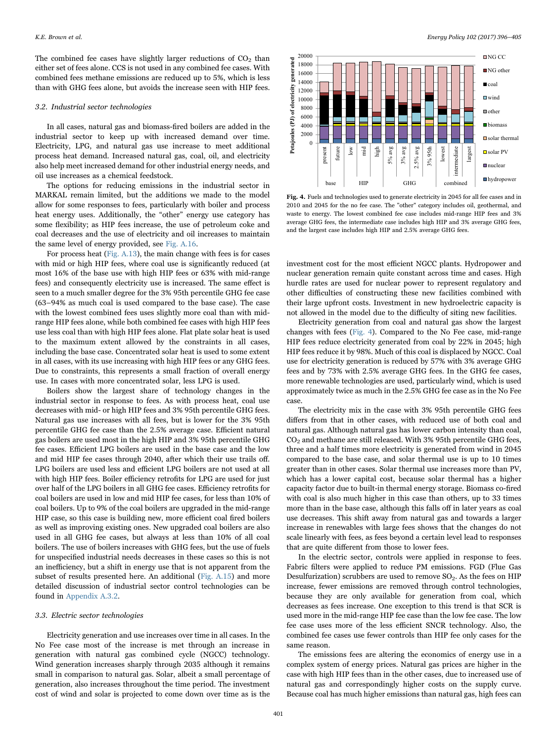The combined fee cases have slightly larger reductions of  $CO<sub>2</sub>$  than either set of fees alone. CCS is not used in any combined fee cases. With combined fees methane emissions are reduced up to 5%, which is less than with GHG fees alone, but avoids the increase seen with HIP fees.

#### 3.2. Industrial sector technologies

In all cases, natural gas and biomass-fired boilers are added in the industrial sector to keep up with increased demand over time. Electricity, LPG, and natural gas use increase to meet additional process heat demand. Increased natural gas, coal, oil, and electricity also help meet increased demand for other industrial energy needs, and oil use increases as a chemical feedstock.

The options for reducing emissions in the industrial sector in MARKAL remain limited, but the additions we made to the model allow for some responses to fees, particularly with boiler and process heat energy uses. Additionally, the "other" energy use category has some flexibility; as HIP fees increase, the use of petroleum coke and coal decreases and the use of electricity and oil increases to maintain the same level of energy provided, see Fig. A.16.

For process heat (Fig. A.13), the main change with fees is for cases with mid or high HIP fees, where coal use is significantly reduced (at most 16% of the base use with high HIP fees or 63% with mid-range fees) and consequently electricity use is increased. The same effect is seen to a much smaller degree for the 3% 95th percentile GHG fee case (63–94% as much coal is used compared to the base case). The case with the lowest combined fees uses slightly more coal than with midrange HIP fees alone, while both combined fee cases with high HIP fees use less coal than with high HIP fees alone. Flat plate solar heat is used to the maximum extent allowed by the constraints in all cases, including the base case. Concentrated solar heat is used to some extent in all cases, with its use increasing with high HIP fees or any GHG fees. Due to constraints, this represents a small fraction of overall energy use. In cases with more concentrated solar, less LPG is used.

Boilers show the largest share of technology changes in the industrial sector in response to fees. As with process heat, coal use decreases with mid- or high HIP fees and 3% 95th percentile GHG fees. Natural gas use increases with all fees, but is lower for the 3% 95th percentile GHG fee case than the 2.5% average case. Efficient natural gas boilers are used most in the high HIP and 3% 95th percentile GHG fee cases. Efficient LPG boilers are used in the base case and the low and mid HIP fee cases through 2040, after which their use trails off. LPG boilers are used less and efficient LPG boilers are not used at all with high HIP fees. Boiler efficiency retrofits for LPG are used for just over half of the LPG boilers in all GHG fee cases. Efficiency retrofits for coal boilers are used in low and mid HIP fee cases, for less than 10% of coal boilers. Up to 9% of the coal boilers are upgraded in the mid-range HIP case, so this case is building new, more efficient coal fired boilers as well as improving existing ones. New upgraded coal boilers are also used in all GHG fee cases, but always at less than 10% of all coal boilers. The use of boilers increases with GHG fees, but the use of fuels for unspecified industrial needs decreases in these cases so this is not an inefficiency, but a shift in energy use that is not apparent from the subset of results presented here. An additional (Fig. A.15) and more detailed discussion of industrial sector control technologies can be found in Appendix A.3.2.

# 3.3. Electric sector technologies

Electricity generation and use increases over time in all cases. In the No Fee case most of the increase is met through an increase in generation with natural gas combined cycle (NGCC) technology. Wind generation increases sharply through 2035 although it remains small in comparison to natural gas. Solar, albeit a small percentage of generation, also increases throughout the time period. The investment cost of wind and solar is projected to come down over time as is the

<span id="page-4-0"></span>![](_page_4_Figure_10.jpeg)

Fig. 4. Fuels and technologies used to generate electricity in 2045 for all fee cases and in 2010 and 2045 for the no fee case. The "other" category includes oil, geothermal, and waste to energy. The lowest combined fee case includes mid-range HIP fees and 3% average GHG fees, the intermediate case includes high HIP and 3% average GHG fees, and the largest case includes high HIP and 2.5% average GHG fees.

investment cost for the most efficient NGCC plants. Hydropower and nuclear generation remain quite constant across time and cases. High hurdle rates are used for nuclear power to represent regulatory and other difficulties of constructing these new facilities combined with their large upfront costs. Investment in new hydroelectric capacity is not allowed in the model due to the difficulty of siting new facilities.

Electricity generation from coal and natural gas show the largest changes with fees ([Fig. 4](#page-4-0)). Compared to the No Fee case, mid-range HIP fees reduce electricity generated from coal by 22% in 2045; high HIP fees reduce it by 98%. Much of this coal is displaced by NGCC. Coal use for electricity generation is reduced by 57% with 3% average GHG fees and by 73% with 2.5% average GHG fees. In the GHG fee cases, more renewable technologies are used, particularly wind, which is used approximately twice as much in the 2.5% GHG fee case as in the No Fee case.

The electricity mix in the case with 3% 95th percentile GHG fees differs from that in other cases, with reduced use of both coal and natural gas. Although natural gas has lower carbon intensity than coal,  $CO<sub>2</sub>$  and methane are still released. With 3% 95th percentile GHG fees, three and a half times more electricity is generated from wind in 2045 compared to the base case, and solar thermal use is up to 10 times greater than in other cases. Solar thermal use increases more than PV, which has a lower capital cost, because solar thermal has a higher capacity factor due to built-in thermal energy storage. Biomass co-fired with coal is also much higher in this case than others, up to 33 times more than in the base case, although this falls off in later years as coal use decreases. This shift away from natural gas and towards a larger increase in renewables with large fees shows that the changes do not scale linearly with fees, as fees beyond a certain level lead to responses that are quite different from those to lower fees.

In the electric sector, controls were applied in response to fees. Fabric filters were applied to reduce PM emissions. FGD (Flue Gas Desulfurization) scrubbers are used to remove  $SO_2$ . As the fees on HIP increase, fewer emissions are removed through control technologies, because they are only available for generation from coal, which decreases as fees increase. One exception to this trend is that SCR is used more in the mid-range HIP fee case than the low fee case. The low fee case uses more of the less efficient SNCR technology. Also, the combined fee cases use fewer controls than HIP fee only cases for the same reason.

The emissions fees are altering the economics of energy use in a complex system of energy prices. Natural gas prices are higher in the case with high HIP fees than in the other cases, due to increased use of natural gas and correspondingly higher costs on the supply curve. Because coal has much higher emissions than natural gas, high fees can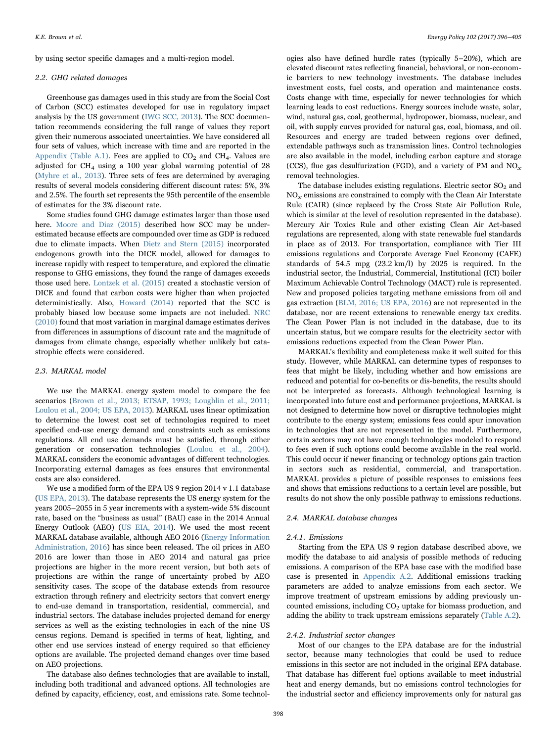by using sector specific damages and a multi-region model.

### <span id="page-5-0"></span>2.2. GHG related damages

Greenhouse gas damages used in this study are from the Social Cost of Carbon (SCC) estimates developed for use in regulatory impact analysis by the US government ([IWG SCC, 2013\)](#page-8-4). The SCC documentation recommends considering the full range of values they report given their numerous associated uncertainties. We have considered all four sets of values, which increase with time and are reported in the Appendix (Table A.1). Fees are applied to  $CO<sub>2</sub>$  and  $CH<sub>4</sub>$ . Values are adjusted for  $CH_4$  using a 100 year global warming potential of 28 ([Myhre et al., 2013\)](#page-8-22). Three sets of fees are determined by averaging results of several models considering different discount rates: 5%, 3% and 2.5%. The fourth set represents the 95th percentile of the ensemble of estimates for the 3% discount rate.

Some studies found GHG damage estimates larger than those used here. [Moore and Diaz \(2015\)](#page-8-23) described how SCC may be underestimated because effects are compounded over time as GDP is reduced due to climate impacts. When [Dietz and Stern \(2015\)](#page-8-24) incorporated endogenous growth into the DICE model, allowed for damages to increase rapidly with respect to temperature, and explored the climatic response to GHG emissions, they found the range of damages exceeds those used here. [Lontzek et al. \(2015\)](#page-8-25) created a stochastic version of DICE and found that carbon costs were higher than when projected deterministically. Also, [Howard \(2014\)](#page-8-26) reported that the SCC is probably biased low because some impacts are not included. [NRC](#page-8-3) [\(2010\)](#page-8-3) found that most variation in marginal damage estimates derives from differences in assumptions of discount rate and the magnitude of damages from climate change, especially whether unlikely but catastrophic effects were considered.

#### 2.3. MARKAL model

We use the MARKAL energy system model to compare the fee scenarios [\(Brown et al., 2013; ETSAP, 1993; Loughlin et al., 2011;](#page-8-6) [Loulou et al., 2004; US EPA, 2013\)](#page-8-6). MARKAL uses linear optimization to determine the lowest cost set of technologies required to meet specified end-use energy demand and constraints such as emissions regulations. All end use demands must be satisfied, through either generation or conservation technologies ([Loulou et al., 2004\)](#page-8-27). MARKAL considers the economic advantages of different technologies. Incorporating external damages as fees ensures that environmental costs are also considered.

We use a modified form of the EPA US 9 region 2014 v 1.1 database ([US EPA, 2013\)](#page-9-5). The database represents the US energy system for the years 2005–2055 in 5 year increments with a system-wide 5% discount rate, based on the "business as usual" (BAU) case in the 2014 Annual Energy Outlook (AEO) ([US EIA, 2014\)](#page-9-6). We used the most recent MARKAL database available, although AEO 2016 [\(Energy Information](#page-8-28) [Administration, 2016\)](#page-8-28) has since been released. The oil prices in AEO 2016 are lower than those in AEO 2014 and natural gas price projections are higher in the more recent version, but both sets of projections are within the range of uncertainty probed by AEO sensitivity cases. The scope of the database extends from resource extraction through refinery and electricity sectors that convert energy to end-use demand in transportation, residential, commercial, and industrial sectors. The database includes projected demand for energy services as well as the existing technologies in each of the nine US census regions. Demand is specified in terms of heat, lighting, and other end use services instead of energy required so that efficiency options are available. The projected demand changes over time based on AEO projections.

The database also defines technologies that are available to install, including both traditional and advanced options. All technologies are defined by capacity, efficiency, cost, and emissions rate. Some technol-

ogies also have defined hurdle rates (typically 5–20%), which are elevated discount rates reflecting financial, behavioral, or non-economic barriers to new technology investments. The database includes investment costs, fuel costs, and operation and maintenance costs. Costs change with time, especially for newer technologies for which learning leads to cost reductions. Energy sources include waste, solar, wind, natural gas, coal, geothermal, hydropower, biomass, nuclear, and oil, with supply curves provided for natural gas, coal, biomass, and oil. Resources and energy are traded between regions over defined, extendable pathways such as transmission lines. Control technologies are also available in the model, including carbon capture and storage (CCS), flue gas desulfurization (FGD), and a variety of PM and NO<sub>x</sub> removal technologies.

The database includes existing regulations. Electric sector  $SO<sub>2</sub>$  and  $NO<sub>x</sub>$  emissions are constrained to comply with the Clean Air Interstate Rule (CAIR) (since replaced by the Cross State Air Pollution Rule, which is similar at the level of resolution represented in the database). Mercury Air Toxics Rule and other existing Clean Air Act-based regulations are represented, along with state renewable fuel standards in place as of 2013. For transportation, compliance with Tier III emissions regulations and Corporate Average Fuel Economy (CAFE) standards of 54.5 mpg (23.2 km/l) by 2025 is required. In the industrial sector, the Industrial, Commercial, Institutional (ICI) boiler Maximum Achievable Control Technology (MACT) rule is represented. New and proposed policies targeting methane emissions from oil and gas extraction ([BLM, 2016; US EPA, 2016](#page-8-29)) are not represented in the database, nor are recent extensions to renewable energy tax credits. The Clean Power Plan is not included in the database, due to its uncertain status, but we compare results for the electricity sector with emissions reductions expected from the Clean Power Plan.

MARKAL's flexibility and completeness make it well suited for this study. However, while MARKAL can determine types of responses to fees that might be likely, including whether and how emissions are reduced and potential for co-benefits or dis-benefits, the results should not be interpreted as forecasts. Although technological learning is incorporated into future cost and performance projections, MARKAL is not designed to determine how novel or disruptive technologies might contribute to the energy system; emissions fees could spur innovation in technologies that are not represented in the model. Furthermore, certain sectors may not have enough technologies modeled to respond to fees even if such options could become available in the real world. This could occur if newer financing or technology options gain traction in sectors such as residential, commercial, and transportation. MARKAL provides a picture of possible responses to emissions fees and shows that emissions reductions to a certain level are possible, but results do not show the only possible pathway to emissions reductions.

# 2.4. MARKAL database changes

# 2.4.1. Emissions

Starting from the EPA US 9 region database described above, we modify the database to aid analysis of possible methods of reducing emissions. A comparison of the EPA base case with the modified base case is presented in Appendix A.2. Additional emissions tracking parameters are added to analyze emissions from each sector. We improve treatment of upstream emissions by adding previously uncounted emissions, including  $CO<sub>2</sub>$  uptake for biomass production, and adding the ability to track upstream emissions separately (Table A.2).

# 2.4.2. Industrial sector changes

Most of our changes to the EPA database are for the industrial sector, because many technologies that could be used to reduce emissions in this sector are not included in the original EPA database. That database has different fuel options available to meet industrial heat and energy demands, but no emissions control technologies for the industrial sector and efficiency improvements only for natural gas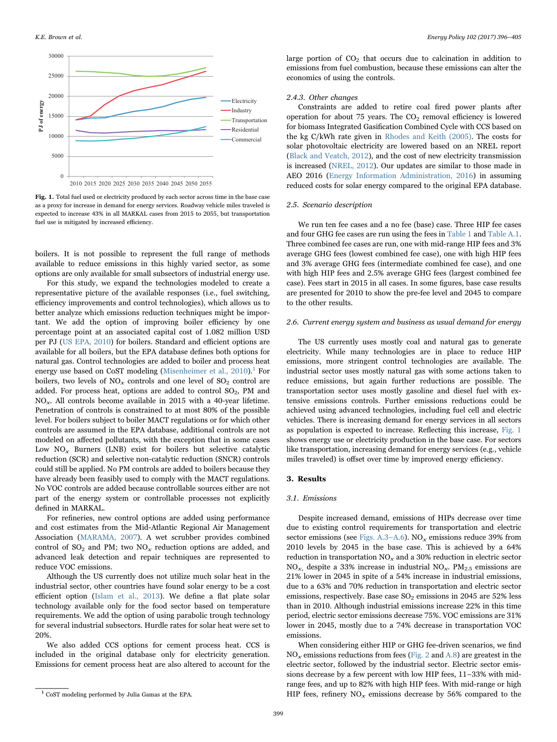<span id="page-6-1"></span>![](_page_6_Figure_1.jpeg)

Fig. 1. Total fuel used or electricity produced by each sector across time in the base case as a proxy for increase in demand for energy services. Roadway vehicle miles traveled is expected to increase 43% in all MARKAL cases from 2015 to 2055, but transportation fuel use is mitigated by increased efficiency.

boilers. It is not possible to represent the full range of methods available to reduce emissions in this highly varied sector, as some options are only available for small subsectors of industrial energy use.

For this study, we expand the technologies modeled to create a representative picture of the available responses (i.e., fuel switching, efficiency improvements and control technologies), which allows us to better analyze which emissions reduction techniques might be important. We add the option of improving boiler efficiency by one percentage point at an associated capital cost of 1.082 million USD per PJ ([US EPA, 2010](#page-9-7)) for boilers. Standard and efficient options are available for all boilers, but the EPA database defines both options for natural gas. Control technologies are added to boiler and process heat energy use based on CoST modeling ([Misenheimer et al., 2010\)](#page-8-30).<sup>1</sup> [For](#page-6-0) boilers, two levels of  $NO<sub>x</sub>$  controls and one level of  $SO<sub>2</sub>$  control are added. For process heat, options are added to control  $SO_2$ , PM and  $NO<sub>x</sub>$ . All controls become available in 2015 with a 40-year lifetime. Penetration of controls is constrained to at most 80% of the possible level. For boilers subject to boiler MACT regulations or for which other controls are assumed in the EPA database, additional controls are not modeled on affected pollutants, with the exception that in some cases Low  $NO<sub>x</sub>$  Burners (LNB) exist for boilers but selective catalytic reduction (SCR) and selective non-catalytic reduction (SNCR) controls could still be applied. No PM controls are added to boilers because they have already been feasibly used to comply with the MACT regulations. No VOC controls are added because controllable sources either are not part of the energy system or controllable processes not explicitly defined in MARKAL.

For refineries, new control options are added using performance and cost estimates from the Mid-Atlantic Regional Air Management Association ([MARAMA, 2007\)](#page-8-31). A wet scrubber provides combined control of  $SO_2$  and PM; two  $NO_x$  reduction options are added, and advanced leak detection and repair techniques are represented to reduce VOC emissions.

Although the US currently does not utilize much solar heat in the industrial sector, other countries have found solar energy to be a cost efficient option [\(Islam et al., 2013\)](#page-8-32). We define a flat plate solar technology available only for the food sector based on temperature requirements. We add the option of using parabolic trough technology for several industrial subsectors. Hurdle rates for solar heat were set to 20%.

We also added CCS options for cement process heat. CCS is included in the original database only for electricity generation. Emissions for cement process heat are also altered to account for the

large portion of  $CO<sub>2</sub>$  that occurs due to calcination in addition to emissions from fuel combustion, because these emissions can alter the economics of using the controls.

#### 2.4.3. Other changes

Constraints are added to retire coal fired power plants after operation for about 75 years. The  $CO<sub>2</sub>$  removal efficiency is lowered for biomass Integrated Gasification Combined Cycle with CCS based on the kg C/kWh rate given in [Rhodes and Keith \(2005\)](#page-8-33). The costs for solar photovoltaic electricity are lowered based on an NREL report ([Black and Veatch, 2012](#page-8-34)), and the cost of new electricity transmission is increased ([NREL, 2012\)](#page-8-35). Our updates are similar to those made in AEO 2016 ([Energy Information Administration, 2016](#page-8-28)) in assuming reduced costs for solar energy compared to the original EPA database.

# 2.5. Scenario description

We run ten fee cases and a no fee (base) case. Three HIP fee cases and four GHG fee cases are run using the fees in [Table 1](#page-2-0) and Table A.1. Three combined fee cases are run, one with mid-range HIP fees and 3% average GHG fees (lowest combined fee case), one with high HIP fees and 3% average GHG fees (intermediate combined fee case), and one with high HIP fees and 2.5% average GHG fees (largest combined fee case). Fees start in 2015 in all cases. In some figures, base case results are presented for 2010 to show the pre-fee level and 2045 to compare to the other results.

#### 2.6. Current energy system and business as usual demand for energy

The US currently uses mostly coal and natural gas to generate electricity. While many technologies are in place to reduce HIP emissions, more stringent control technologies are available. The industrial sector uses mostly natural gas with some actions taken to reduce emissions, but again further reductions are possible. The transportation sector uses mostly gasoline and diesel fuel with extensive emissions controls. Further emissions reductions could be achieved using advanced technologies, including fuel cell and electric vehicles. There is increasing demand for energy services in all sectors as population is expected to increase. Reflecting this increase, [Fig. 1](#page-6-1) shows energy use or electricity production in the base case. For sectors like transportation, increasing demand for energy services (e.g., vehicle miles traveled) is offset over time by improved energy efficiency.

#### 3. Results

#### 3.1. Emissions

Despite increased demand, emissions of HIPs decrease over time due to existing control requirements for transportation and electric sector emissions (see Figs. A.3–A.6). NO<sub>x</sub> emissions reduce 39% from 2010 levels by 2045 in the base case. This is achieved by a 64% reduction in transportation  $NO_x$  and a 30% reduction in electric sector  $NO<sub>x</sub>$ , despite a 33% increase in industrial  $NO<sub>x</sub>$ . PM<sub>2.5</sub> emissions are 21% lower in 2045 in spite of a 54% increase in industrial emissions, due to a 63% and 70% reduction in transportation and electric sector emissions, respectively. Base case  $SO_2$  emissions in 2045 are 52% less than in 2010. Although industrial emissions increase 22% in this time period, electric sector emissions decrease 75%. VOC emissions are 31% lower in 2045, mostly due to a 74% decrease in transportation VOC emissions.

When considering either HIP or GHG fee-driven scenarios, we find  $NO<sub>x</sub>$  emissions reductions from fees [\(Fig. 2](#page-1-0) and A.8) are greatest in the electric sector, followed by the industrial sector. Electric sector emissions decrease by a few percent with low HIP fees, 11–33% with midrange fees, and up to 82% with high HIP fees. With mid-range or high HIP fees, refinery  $NO_x$  emissions decrease by 56% compared to the

<span id="page-6-0"></span><sup>1</sup> CoST modeling performed by Julia Gamas at the EPA.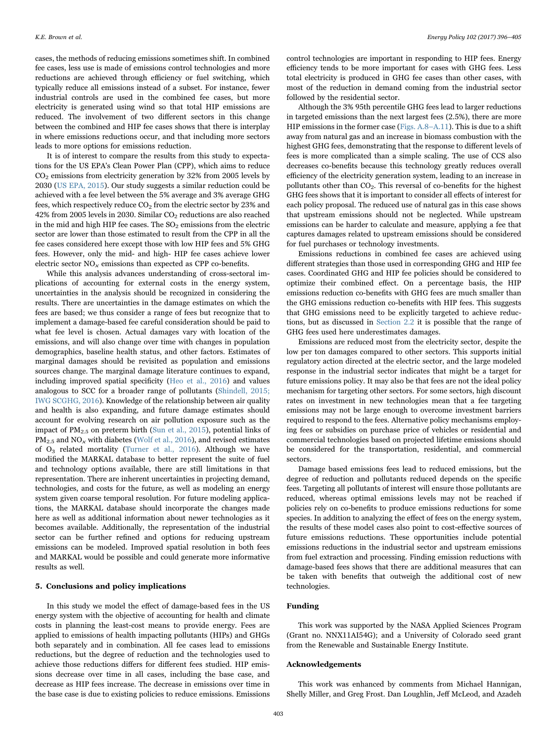cases, the methods of reducing emissions sometimes shift. In combined fee cases, less use is made of emissions control technologies and more reductions are achieved through efficiency or fuel switching, which typically reduce all emissions instead of a subset. For instance, fewer industrial controls are used in the combined fee cases, but more electricity is generated using wind so that total HIP emissions are reduced. The involvement of two different sectors in this change between the combined and HIP fee cases shows that there is interplay in where emissions reductions occur, and that including more sectors leads to more options for emissions reduction.

It is of interest to compare the results from this study to expectations for the US EPA's Clean Power Plan (CPP), which aims to reduce  $CO<sub>2</sub>$  emissions from electricity generation by 32% from 2005 levels by 2030 ([US EPA, 2015\)](#page-9-8). Our study suggests a similar reduction could be achieved with a fee level between the 5% average and 3% average GHG fees, which respectively reduce  $CO<sub>2</sub>$  from the electric sector by 23% and 42% from 2005 levels in 2030. Similar  $CO<sub>2</sub>$  reductions are also reached in the mid and high HIP fee cases. The  $SO<sub>2</sub>$  emissions from the electric sector are lower than those estimated to result from the CPP in all the fee cases considered here except those with low HIP fees and 5% GHG fees. However, only the mid- and high- HIP fee cases achieve lower electric sector  $NO<sub>x</sub>$  emissions than expected as CPP co-benefits.

While this analysis advances understanding of cross-sectoral implications of accounting for external costs in the energy system, uncertainties in the analysis should be recognized in considering the results. There are uncertainties in the damage estimates on which the fees are based; we thus consider a range of fees but recognize that to implement a damage-based fee careful consideration should be paid to what fee level is chosen. Actual damages vary with location of the emissions, and will also change over time with changes in population demographics, baseline health status, and other factors. Estimates of marginal damages should be revisited as population and emissions sources change. The marginal damage literature continues to expand, including improved spatial specificity [\(Heo et al., 2016\)](#page-8-36) and values analogous to SCC for a broader range of pollutants [\(Shindell, 2015;](#page-8-37) [IWG SCGHG, 2016](#page-8-37)). Knowledge of the relationship between air quality and health is also expanding, and future damage estimates should account for evolving research on air pollution exposure such as the impact of  $PM_{2.5}$  on preterm birth [\(Sun et al., 2015](#page-9-9)), potential links of  $PM_{2.5}$  and  $NO_x$  with diabetes [\(Wolf et al., 2016\)](#page-9-10), and revised estimates of O3 related mortality [\(Turner et al., 2016](#page-9-11)). Although we have modified the MARKAL database to better represent the suite of fuel and technology options available, there are still limitations in that representation. There are inherent uncertainties in projecting demand, technologies, and costs for the future, as well as modeling an energy system given coarse temporal resolution. For future modeling applications, the MARKAL database should incorporate the changes made here as well as additional information about newer technologies as it becomes available. Additionally, the representation of the industrial sector can be further refined and options for reducing upstream emissions can be modeled. Improved spatial resolution in both fees and MARKAL would be possible and could generate more informative results as well.

# 5. Conclusions and policy implications

In this study we model the effect of damage-based fees in the US energy system with the objective of accounting for health and climate costs in planning the least-cost means to provide energy. Fees are applied to emissions of health impacting pollutants (HIPs) and GHGs both separately and in combination. All fee cases lead to emissions reductions, but the degree of reduction and the technologies used to achieve those reductions differs for different fees studied. HIP emissions decrease over time in all cases, including the base case, and decrease as HIP fees increase. The decrease in emissions over time in the base case is due to existing policies to reduce emissions. Emissions

control technologies are important in responding to HIP fees. Energy efficiency tends to be more important for cases with GHG fees. Less total electricity is produced in GHG fee cases than other cases, with most of the reduction in demand coming from the industrial sector followed by the residential sector.

Although the 3% 95th percentile GHG fees lead to larger reductions in targeted emissions than the next largest fees (2.5%), there are more HIP emissions in the former case (Figs. A.8–A.11). This is due to a shift away from natural gas and an increase in biomass combustion with the highest GHG fees, demonstrating that the response to different levels of fees is more complicated than a simple scaling. The use of CCS also decreases co-benefits because this technology greatly reduces overall efficiency of the electricity generation system, leading to an increase in pollutants other than  $CO<sub>2</sub>$ . This reversal of co-benefits for the highest GHG fees shows that it is important to consider all effects of interest for each policy proposal. The reduced use of natural gas in this case shows that upstream emissions should not be neglected. While upstream emissions can be harder to calculate and measure, applying a fee that captures damages related to upstream emissions should be considered for fuel purchases or technology investments.

Emissions reductions in combined fee cases are achieved using different strategies than those used in corresponding GHG and HIP fee cases. Coordinated GHG and HIP fee policies should be considered to optimize their combined effect. On a percentage basis, the HIP emissions reduction co-benefits with GHG fees are much smaller than the GHG emissions reduction co-benefits with HIP fees. This suggests that GHG emissions need to be explicitly targeted to achieve reductions, but as discussed in [Section 2.2](#page-5-0) it is possible that the range of GHG fees used here underestimates damages.

Emissions are reduced most from the electricity sector, despite the low per ton damages compared to other sectors. This supports initial regulatory action directed at the electric sector, and the large modeled response in the industrial sector indicates that might be a target for future emissions policy. It may also be that fees are not the ideal policy mechanism for targeting other sectors. For some sectors, high discount rates on investment in new technologies mean that a fee targeting emissions may not be large enough to overcome investment barriers required to respond to the fees. Alternative policy mechanisms employing fees or subsidies on purchase price of vehicles or residential and commercial technologies based on projected lifetime emissions should be considered for the transportation, residential, and commercial sectors.

Damage based emissions fees lead to reduced emissions, but the degree of reduction and pollutants reduced depends on the specific fees. Targeting all pollutants of interest will ensure those pollutants are reduced, whereas optimal emissions levels may not be reached if policies rely on co-benefits to produce emissions reductions for some species. In addition to analyzing the effect of fees on the energy system, the results of these model cases also point to cost-effective sources of future emissions reductions. These opportunities include potential emissions reductions in the industrial sector and upstream emissions from fuel extraction and processing. Finding emission reductions with damage-based fees shows that there are additional measures that can be taken with benefits that outweigh the additional cost of new technologies.

# Funding

This work was supported by the NASA Applied Sciences Program (Grant no. NNX11AI54G); and a University of Colorado seed grant from the Renewable and Sustainable Energy Institute.

#### Acknowledgements

This work was enhanced by comments from Michael Hannigan, Shelly Miller, and Greg Frost. Dan Loughlin, Jeff McLeod, and Azadeh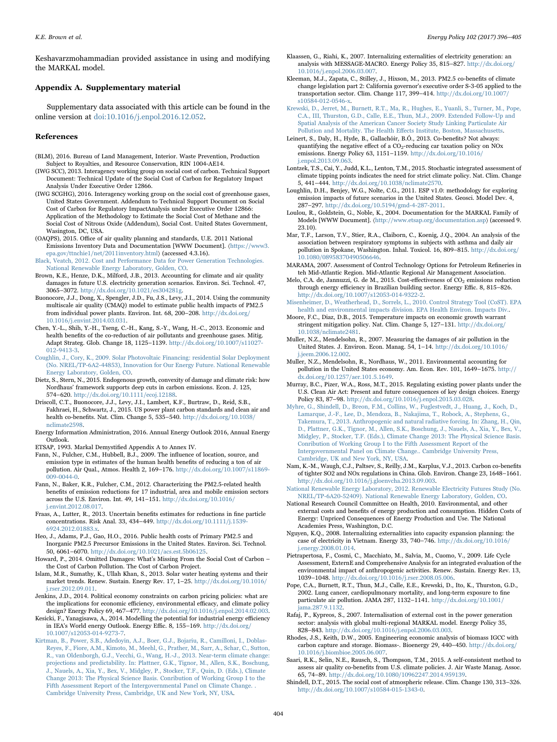Keshavarzmohammadian provided assistance in using and modifying the MARKAL model.

# Appendix A. Supplementary material

Supplementary data associated with this article can be found in the online version at [doi:10.1016/j.enpol.2016.12.052.](http://dx.doi.org/10.1016/j.enpol.2016.12.052)

#### References

- <span id="page-8-29"></span>(BLM), 2016. Bureau of Land Management, Interior. Waste Prevention, Production Subject to Royalties, and Resource Conservation, RIN 1004-AE14.
- <span id="page-8-4"></span>(IWG SCC), 2013. Interagency working group on social cost of carbon. Technical Support Document: Technical Update of the Social Cost of Carbon for Regulatory Impact Analysis Under Executive Order 12866.
- (IWG SCGHG), 2016. Interagency working group on the social cost of greenhouse gases, United States Government. Addendum to Technical Support Document on Social Cost of Carbon for Regulatory ImpactAnalysis under Executive Order 12866: Application of the Methodology to Estimate the Social Cost of Methane and the Social Cost of Nitrous Oxide (Addendum), Social Cost. United States Government, Wasington, DC, USA.
- <span id="page-8-13"></span>(OAQPS), 2015. Office of air quality planning and standards, U.E. 2011 National Emissions Inventory Data and Documentation [WWW Document]. 〈[https://www3.](http://https://www3.epa.gov/ttnchie1/net/2011inventory.html) [epa.gov/ttnchie1/net/2011inventory.html](http://https://www3.epa.gov/ttnchie1/net/2011inventory.html)〉 (accessed 4.3.16).
- <span id="page-8-34"></span>[Black, Veatch, 2012. Cost and Performance Data for Power Generation Technologies.](http://refhub.elsevier.com/S0301-16)30716-sbref1) [National Renewable Energy Laboratory, Golden, CO](http://refhub.elsevier.com/S0301-16)30716-sbref1).
- <span id="page-8-6"></span>Brown, K.E., Henze, D.K., Milford, J.B., 2013. Accounting for climate and air quality damages in future U.S. electricity generation scenarios. Environ. Sci. Technol. 47, 3065–3072. <http://dx.doi.org/10.1021/es304281g>.
- <span id="page-8-20"></span>Buonocore, J.J., Dong, X., Spengler, J.D., Fu, J.S., Levy, J.I., 2014. Using the community multiscale air quality (CMAQ) model to estimate public health impacts of PM2.5 from individual power plants. Environ. Int. 68, 200–208. [http://dx.doi.org/](http://dx.doi.org/10.1016/j.envint.2014.03.031) [10.1016/j.envint.2014.03.031.](http://dx.doi.org/10.1016/j.envint.2014.03.031)
- <span id="page-8-10"></span>Chen, Y.-L., Shih, Y.-H., Tseng, C.-H., Kang, S.-Y., Wang, H.-C., 2013. Economic and health benefits of the co-reduction of air pollutants and greenhouse gases. Mitig. Adapt Strateg. Glob. Change 18, 1125–1139. [http://dx.doi.org/10.1007/s11027-](http://dx.doi.org/10.1007/s11027-012-9413-3) [012-9413-3](http://dx.doi.org/10.1007/s11027-012-9413-3).
- <span id="page-8-21"></span>[Coughlin, J., Cory, K., 2009. Solar Photovoltaic Financing: residential Solar Deployment](http://refhub.elsevier.com/S0301-16)30716-sbref5) [\(No. NREL/TP-6A2-44853\), Innovation for Our Energy Future. National Renewable](http://refhub.elsevier.com/S0301-16)30716-sbref5) [Energy Laboratory, Golden, CO.](http://refhub.elsevier.com/S0301-16)30716-sbref5)
- <span id="page-8-24"></span>Dietz, S., Stern, N., 2015. Endogenous growth, convexity of damage and climate risk: how Nordhaus' framework supports deep cuts in carbon emissions. Econ. J. 125, 574–620. [http://dx.doi.org/10.1111/ecoj.12188.](http://dx.doi.org/10.1111/ecoj.12188)
- <span id="page-8-9"></span>Driscoll, C.T., Buonocore, J.J., Levy, J.I., Lambert, K.F., Burtraw, D., Reid, S.B., Fakhraei, H., Schwartz, J., 2015. US power plant carbon standards and clean air and health co-benefits. Nat. Clim. Change 5, 535–540. [http://dx.doi.org/10.1038/](http://dx.doi.org/10.1038/nclimate2598) [nclimate2598](http://dx.doi.org/10.1038/nclimate2598).
- <span id="page-8-28"></span>Energy Information Administration, 2016. Annual Energy Outlook 2016, Annual Energy Outlook.
- ETSAP, 1993. Markal Demystified Appendix A to Annex IV.
- <span id="page-8-16"></span>Fann, N., Fulcher, C.M., Hubbell, B.J., 2009. The influence of location, source, and emission type in estimates of the human health benefits of reducing a ton of air pollution. Air Qual., Atmos. Health 2, 169–176. [http://dx.doi.org/10.1007/s11869-](http://dx.doi.org/10.1007/s11869-009-0044-0) [009-0044-0](http://dx.doi.org/10.1007/s11869-009-0044-0).
- <span id="page-8-17"></span>Fann, N., Baker, K.R., Fulcher, C.M., 2012. Characterizing the PM2.5-related health benefits of emission reductions for 17 industrial, area and mobile emission sectors across the U.S. Environ. Int. 49, 141–151. [http://dx.doi.org/10.1016/](http://dx.doi.org/10.1016/j.envint.2012.08.017) [j.envint.2012.08.017](http://dx.doi.org/10.1016/j.envint.2012.08.017).
- <span id="page-8-19"></span>Fraas, A., Lutter, R., 2013. Uncertain benefits estimates for reductions in fine particle concentrations. Risk Anal. 33, 434–449. [http://dx.doi.org/10.1111/j.1539-](http://dx.doi.org/10.1111/j.1539-6924.2012.01883.x) [6924.2012.01883.x.](http://dx.doi.org/10.1111/j.1539-6924.2012.01883.x)

<span id="page-8-36"></span>Heo, J., Adams, P.J., Gao, H.O., 2016. Public health costs of Primary PM2.5 and Inorganic PM2.5 Precursor Emissions in the United States. Environ. Sci. Technol. 50, 6061–6070. <http://dx.doi.org/10.1021/acs.est.5b06125>.

- <span id="page-8-26"></span>Howard, P., 2014. Omitted Damages: What's Missing From the Social Cost of Carbon – the Cost of Carbon Pollution. The Cost of Carbon Project.
- <span id="page-8-32"></span>Islam, M.R., Sumathy, K., Ullah Khan, S., 2013. Solar water heating systems and their market trends. Renew. Sustain. Energy Rev. 17, 1–25. [http://dx.doi.org/10.1016/](http://dx.doi.org/10.1016/j.rser.2012.09.011) [j.rser.2012.09.011.](http://dx.doi.org/10.1016/j.rser.2012.09.011)

<span id="page-8-7"></span>Jenkins, J.D., 2014. Political economy constraints on carbon pricing policies: what are the implications for economic efficiency, environmental efficacy, and climate policy design? Energy Policy 69, 467–477. [http://dx.doi.org/10.1016/j.enpol.2014.02.003.](http://dx.doi.org/10.1016/j.enpol.2014.02.003)

- <span id="page-8-11"></span>Kesicki, F., Yanagisawa, A., 2014. Modelling the potential for industrial energy efficiency in IEA's World energy Outlook. Energy Effic. 8, 155–169. [http://dx.doi.org/](http://dx.doi.org/10.1007/s12053-014-9273-7) [10.1007/s12053-014-9273-7](http://dx.doi.org/10.1007/s12053-014-9273-7).
- <span id="page-8-2"></span>[Kirtman, B., Power, S.B., Adedoyin, A.J., Boer, G.J., Bojariu, R., Camilloni, I., Doblas-](http://refhub.elsevier.com/S0301-16)30716-sbref15)[Reyes, F., Fiore, A.M., Kimoto, M., Meehl, G., Prather, M., Sarr, A., Schar, C., Sutton,](http://refhub.elsevier.com/S0301-16)30716-sbref15) [R., van Oldenborgh, G.J., Vecchi, G., Wang, H.-J., 2013. Near-term climate change:](http://refhub.elsevier.com/S0301-16)30716-sbref15) [projections and predictability. In: Plattner, G.K., Tignor, M., Allen, S.K., Boschung,](http://refhub.elsevier.com/S0301-16)30716-sbref15) [J., Nauels, A., Xia, Y., Bex, V., Midgley, P., Stocker, T.F., Quin, D. \(Eds.\), Climate](http://refhub.elsevier.com/S0301-16)30716-sbref15) [Change 2013: The Physical Science Basis. Conribution of Working Group I to the](http://refhub.elsevier.com/S0301-16)30716-sbref15) [Fifth Assessment Report of the Intergovernmental Panel on Climate Change. .](http://refhub.elsevier.com/S0301-16)30716-sbref15) [Cambridge University Press, Cambridge, UK and New York, NY, USA](http://refhub.elsevier.com/S0301-16)30716-sbref15).
- <span id="page-8-5"></span>Klaassen, G., Riahi, K., 2007. Internalizing externalities of electricity generation: an analysis with MESSAGE-MACRO. Energy Policy 35, 815–827. [http://dx.doi.org/](http://dx.doi.org/10.1016/j.enpol.2006.03.007) [10.1016/j.enpol.2006.03.007.](http://dx.doi.org/10.1016/j.enpol.2006.03.007)
- Kleeman, M.J., Zapata, C., Stilley, J., Hixson, M., 2013. PM2.5 co-benefits of climate change legislation part 2: California governor's executive order S-3-05 applied to the transportation sector. Clim. Change 117, 399–414. [http://dx.doi.org/10.1007/](http://dx.doi.org/10.1007/s10584-012-0546-x) [s10584-012-0546-x.](http://dx.doi.org/10.1007/s10584-012-0546-x)

<span id="page-8-0"></span>[Krewski, D., Jerret, M., Burnett, R.T., Ma, R., Hughes, E., Yuanli, S., Turner, M., Pope,](http://refhub.elsevier.com/S0301-16)30716-sbref18) [C.A., III, Thurston, G.D., Calle, E.E., Thun, M.J., 2009. Extended Follow-Up and](http://refhub.elsevier.com/S0301-16)30716-sbref18) [Spatial Analysis of the American Cancer Society Study Linking Particulate Air](http://refhub.elsevier.com/S0301-16)30716-sbref18) [Pollution and Mortality. The Health E](http://refhub.elsevier.com/S0301-16)30716-sbref18)ffects Institute, Boston, Massachusetts.

<span id="page-8-12"></span>Leinert, S., Daly, H., Hyde, B., Gallachóir, B.Ó., 2013. Co-benefits? Not always: quantifying the negative effect of a  $CO<sub>2</sub>$ -reducing car taxation policy on NOx emissions. Energy Policy 63, 1151–1159. [http://dx.doi.org/10.1016/](http://dx.doi.org/10.1016/j.enpol.2013.09.063) [j.enpol.2013.09.063](http://dx.doi.org/10.1016/j.enpol.2013.09.063).

- <span id="page-8-25"></span>Lontzek, T.S., Cai, Y., Judd, K.L., Lenton, T.M., 2015. Stochastic integrated assessment of climate tipping points indicates the need for strict climate policy. Nat. Clim. Change 5, 441–444. [http://dx.doi.org/10.1038/nclimate2570.](http://dx.doi.org/10.1038/nclimate2570)
- Loughlin, D.H., Benjey, W.G., Nolte, C.G., 2011. ESP v1.0: methodology for exploring emission impacts of future scenarios in the United States. Geosci. Model Dev. 4, 287–297. <http://dx.doi.org/10.5194/gmd-4-287-2011>.
- <span id="page-8-27"></span>Loulou, R., Goldstein, G., Noble, K., 2004. Documentation for the MARKAL Family of Models [WWW Document]. 〈<http://www.etsap.org/documentation.asp>〉 (accessed 9. 23.10).
- <span id="page-8-1"></span>Mar, T.F., Larson, T.V., Stier, R.A., Claiborn, C., Koenig, J.Q., 2004. An analysis of the association between respiratory symptoms in subjects with asthma and daily air pollution in Spokane, Washington. Inhal. Toxicol. 16, 809–815. [http://dx.doi.org/](http://dx.doi.org/10.1080/08958370490506646) [10.1080/08958370490506646.](http://dx.doi.org/10.1080/08958370490506646)
- <span id="page-8-31"></span>MARAMA, 2007. Assessment of Control Technology Options for Petroleum Refineries in teh Mid-Atlantic Region. Mid-Atlantic Regional Air Management Association.
- Melo, C.A. de, Jannuzzi, G. de M., 2015. Cost-effectiveness of  $CO<sub>2</sub>$  emissions reduction through energy efficiency in Brazilian building sector. Energy Effic. 8, 815–826. [http://dx.doi.org/10.1007/s12053-014-9322-2.](http://dx.doi.org/10.1007/s12053-014-9322-2)
- <span id="page-8-30"></span>[Misenheimer, D., Weatherhead, D., Sorrels, L., 2010. Control Strategy Tool \(CoST\). EPA](http://refhub.elsevier.com/S0301-16)30716-sbref24) [health and environmental impacts division. EPA Health Environ. Impacts Div.](http://refhub.elsevier.com/S0301-16)30716-sbref24).
- <span id="page-8-23"></span>Moore, F.C., Diaz, D.B., 2015. Temperature impacts on economic growth warrant stringent mitigation policy. Nat. Clim. Change 5, 127–131. [http://dx.doi.org/](http://dx.doi.org/10.1038/nclimate2481) [10.1038/nclimate2481.](http://dx.doi.org/10.1038/nclimate2481)
- <span id="page-8-15"></span>Muller, N.Z., Mendelsohn, R., 2007. Measuring the damages of air pollution in the United States. J. Environ. Econ. Manag. 54, 1–14. [http://dx.doi.org/10.1016/](http://dx.doi.org/10.1016/j.jeem.2006.12.002) [j.jeem.2006.12.002](http://dx.doi.org/10.1016/j.jeem.2006.12.002).
- <span id="page-8-14"></span>Muller, N.Z., Mendelsohn, R., Nordhaus, W., 2011. Environmental accounting for pollution in the United States economy. Am. Econ. Rev. 101, 1649–1675. [http://](http://dx.doi.org/10.1257/aer.101.5.1649) [dx.doi.org/10.1257/aer.101.5.1649](http://dx.doi.org/10.1257/aer.101.5.1649).
- <span id="page-8-8"></span>Murray, B.C., Pizer, W.A., Ross, M.T., 2015. Regulating existing power plants under the U.S. Clean Air Act: Present and future consequences of key design choices. Energy Policy 83, 87–98. <http://dx.doi.org/10.1016/j.enpol.2015.03.028>.
- <span id="page-8-22"></span>[Myhre, G., Shindell, D., Breon, F.M., Collins, W., Fuglestvedt, J., Huang, J., Koch, D.,](http://refhub.elsevier.com/S0301-16)30716-sbref29) [Lamarque, J.-F., Lee, D., Mendoza, B., Nakajima, T., Robock, A., Stephens, G.,](http://refhub.elsevier.com/S0301-16)30716-sbref29) [Takemura, T., 2013. Anthropogenic and natural radiative forcing. In: Zhang, H., Qin,](http://refhub.elsevier.com/S0301-16)30716-sbref29) [D., Plattner, G.K., Tignor, M., Allen, S.K., Boschung, J., Nauels, A., Xia, Y., Bex, V.,](http://refhub.elsevier.com/S0301-16)30716-sbref29) [Midgley, P., Stocker, T.F. \(Eds.\), Climate Change 2013: The Physical Science Basis.](http://refhub.elsevier.com/S0301-16)30716-sbref29) [Conribution of Working Group I to the Fifth Assessment Report of the](http://refhub.elsevier.com/S0301-16)30716-sbref29) [Intergovernmental Panel on Climate Change.. Cambridge University Press,](http://refhub.elsevier.com/S0301-16)30716-sbref29) [Cambridge, UK and New York, NY, USA.](http://refhub.elsevier.com/S0301-16)30716-sbref29)
- Nam, K.-M., Waugh, C.J., Paltsev, S., Reilly, J.M., Karplus, V.J., 2013. Carbon co-benefits of tighter SO2 and NOx regulations in China. Glob. Environ. Change 23, 1648–1661. [http://dx.doi.org/10.1016/j.gloenvcha.2013.09.003.](http://dx.doi.org/10.1016/j.gloenvcha.2013.09.003)
- <span id="page-8-35"></span>[National Renewable Energy Laboratory, 2012. Renewable Electricity Futures Study \(No.](http://refhub.elsevier.com/S0301-16)30716-sbref31) [NREL/TP-6A20-52409\). National Renewable Energy Laboratory, Golden, CO.](http://refhub.elsevier.com/S0301-16)30716-sbref31)
- <span id="page-8-3"></span>National Research Council Committee on Health, 2010. Environmental, and other external costs and benefits of energy production and consumption. Hidden Costs of Energy: Unpriced Consequences of Energy Production and Use. The National Academies Press, Washington, D.C.
- Nguyen, K.Q., 2008. Internalizing externalities into capacity expansion planning: the case of electricity in Vietnam. Energy 33, 740–746. [http://dx.doi.org/10.1016/](http://dx.doi.org/10.1016/j.energy.2008.01.014) [j.energy.2008.01.014.](http://dx.doi.org/10.1016/j.energy.2008.01.014)
- Pietrapertosa, F., Cosmi, C., Macchiato, M., Salvia, M., Cuomo, V., 2009. Life Cycle Assessment, ExternE and Comprehensive Analysis for an integrated evaluation of the environmental impact of anthropogenic activities. Renew. Sustain. Energy Rev. 13, 1039–1048. [http://dx.doi.org/10.1016/j.rser.2008.05.006.](http://dx.doi.org/10.1016/j.rser.2008.05.006)
- <span id="page-8-18"></span>Pope, C.A., Burnett, R.T., Thun, M.J., Calle, E.E., Krewski, D., Ito, K., Thurston, G.D., 2002. Lung cancer, cardiopulmonary mortality, and long-term exposure to fine particulate air pollution. JAMA 287, 1132–1141. [http://dx.doi.org/10.1001/](http://dx.doi.org/10.1001/jama.287.9.1132) ama.287.9.1132.
- Rafaj, P., Kypreos, S., 2007. Internalisation of external cost in the power generation sector: analysis with global multi-regional MARKAL model. Energy Policy 35, 828–843. <http://dx.doi.org/10.1016/j.enpol.2006.03.003>.
- <span id="page-8-33"></span>Rhodes, J.S., Keith, D.W., 2005. Engineering economic analysis of biomass IGCC with carbon capture and storage. Biomass-. Bioenergy 29, 440–450. [http://dx.doi.org/](http://dx.doi.org/10.1016/j.biombioe.2005.06.007) [10.1016/j.biombioe.2005.06.007](http://dx.doi.org/10.1016/j.biombioe.2005.06.007).
- Saari, R.K., Selin, N.E., Rausch, S., Thompson, T.M., 2015. A self-consistent method to assess air quality co-benefits from U.S. climate policies. J. Air Waste Manag. Assoc. 65, 74–89. <http://dx.doi.org/10.1080/10962247.2014.959139>.
- <span id="page-8-37"></span>Shindell, D.T., 2015. The social cost of atmospheric release. Clim. Change 130, 313–326. [http://dx.doi.org/10.1007/s10584-015-1343-0.](http://dx.doi.org/10.1007/s10584-015-1343-0)